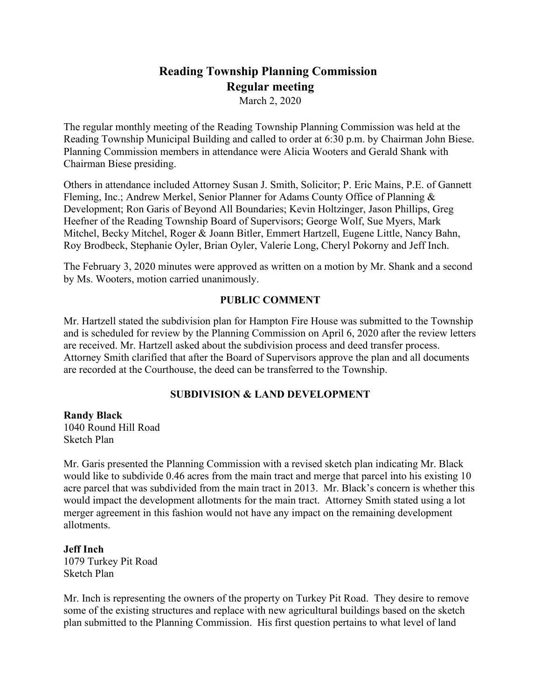# **Reading Township Planning Commission Regular meeting**

March 2, 2020

The regular monthly meeting of the Reading Township Planning Commission was held at the Reading Township Municipal Building and called to order at 6:30 p.m. by Chairman John Biese. Planning Commission members in attendance were Alicia Wooters and Gerald Shank with Chairman Biese presiding.

Others in attendance included Attorney Susan J. Smith, Solicitor; P. Eric Mains, P.E. of Gannett Fleming, Inc.; Andrew Merkel, Senior Planner for Adams County Office of Planning & Development; Ron Garis of Beyond All Boundaries; Kevin Holtzinger, Jason Phillips, Greg Heefner of the Reading Township Board of Supervisors; George Wolf, Sue Myers, Mark Mitchel, Becky Mitchel, Roger & Joann Bitler, Emmert Hartzell, Eugene Little, Nancy Bahn, Roy Brodbeck, Stephanie Oyler, Brian Oyler, Valerie Long, Cheryl Pokorny and Jeff Inch.

The February 3, 2020 minutes were approved as written on a motion by Mr. Shank and a second by Ms. Wooters, motion carried unanimously.

#### **PUBLIC COMMENT**

Mr. Hartzell stated the subdivision plan for Hampton Fire House was submitted to the Township and is scheduled for review by the Planning Commission on April 6, 2020 after the review letters are received. Mr. Hartzell asked about the subdivision process and deed transfer process. Attorney Smith clarified that after the Board of Supervisors approve the plan and all documents are recorded at the Courthouse, the deed can be transferred to the Township.

# **SUBDIVISION & LAND DEVELOPMENT**

**Randy Black** 1040 Round Hill Road Sketch Plan

Mr. Garis presented the Planning Commission with a revised sketch plan indicating Mr. Black would like to subdivide 0.46 acres from the main tract and merge that parcel into his existing 10 acre parcel that was subdivided from the main tract in 2013. Mr. Black's concern is whether this would impact the development allotments for the main tract. Attorney Smith stated using a lot merger agreement in this fashion would not have any impact on the remaining development allotments.

**Jeff Inch** 1079 Turkey Pit Road Sketch Plan

Mr. Inch is representing the owners of the property on Turkey Pit Road. They desire to remove some of the existing structures and replace with new agricultural buildings based on the sketch plan submitted to the Planning Commission. His first question pertains to what level of land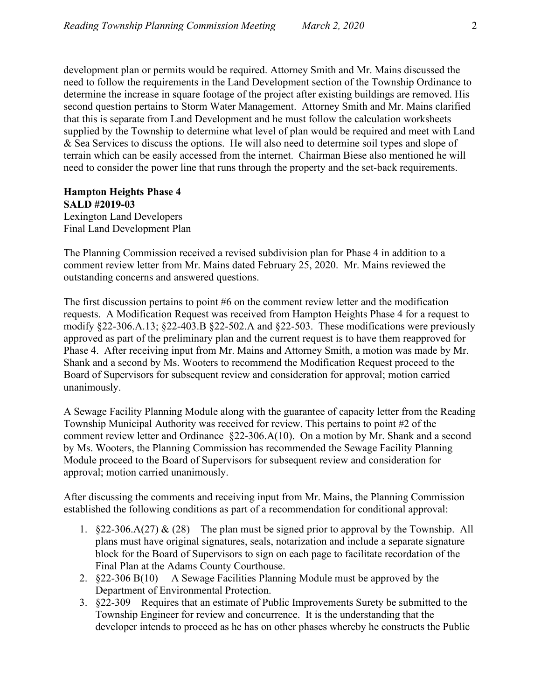development plan or permits would be required. Attorney Smith and Mr. Mains discussed the need to follow the requirements in the Land Development section of the Township Ordinance to determine the increase in square footage of the project after existing buildings are removed. His second question pertains to Storm Water Management. Attorney Smith and Mr. Mains clarified that this is separate from Land Development and he must follow the calculation worksheets supplied by the Township to determine what level of plan would be required and meet with Land & Sea Services to discuss the options. He will also need to determine soil types and slope of terrain which can be easily accessed from the internet. Chairman Biese also mentioned he will need to consider the power line that runs through the property and the set-back requirements.

# **Hampton Heights Phase 4 SALD #2019-03**

Lexington Land Developers Final Land Development Plan

The Planning Commission received a revised subdivision plan for Phase 4 in addition to a comment review letter from Mr. Mains dated February 25, 2020. Mr. Mains reviewed the outstanding concerns and answered questions.

The first discussion pertains to point #6 on the comment review letter and the modification requests. A Modification Request was received from Hampton Heights Phase 4 for a request to modify §22-306.A.13; §22-403.B §22-502.A and §22-503. These modifications were previously approved as part of the preliminary plan and the current request is to have them reapproved for Phase 4. After receiving input from Mr. Mains and Attorney Smith, a motion was made by Mr. Shank and a second by Ms. Wooters to recommend the Modification Request proceed to the Board of Supervisors for subsequent review and consideration for approval; motion carried unanimously.

A Sewage Facility Planning Module along with the guarantee of capacity letter from the Reading Township Municipal Authority was received for review. This pertains to point #2 of the comment review letter and Ordinance §22-306.A(10). On a motion by Mr. Shank and a second by Ms. Wooters, the Planning Commission has recommended the Sewage Facility Planning Module proceed to the Board of Supervisors for subsequent review and consideration for approval; motion carried unanimously.

After discussing the comments and receiving input from Mr. Mains, the Planning Commission established the following conditions as part of a recommendation for conditional approval:

- 1. §22-306.A(27) & (28) The plan must be signed prior to approval by the Township. All plans must have original signatures, seals, notarization and include a separate signature block for the Board of Supervisors to sign on each page to facilitate recordation of the Final Plan at the Adams County Courthouse.
- 2. §22-306 B(10) A Sewage Facilities Planning Module must be approved by the Department of Environmental Protection.
- 3. §22-309 Requires that an estimate of Public Improvements Surety be submitted to the Township Engineer for review and concurrence. It is the understanding that the developer intends to proceed as he has on other phases whereby he constructs the Public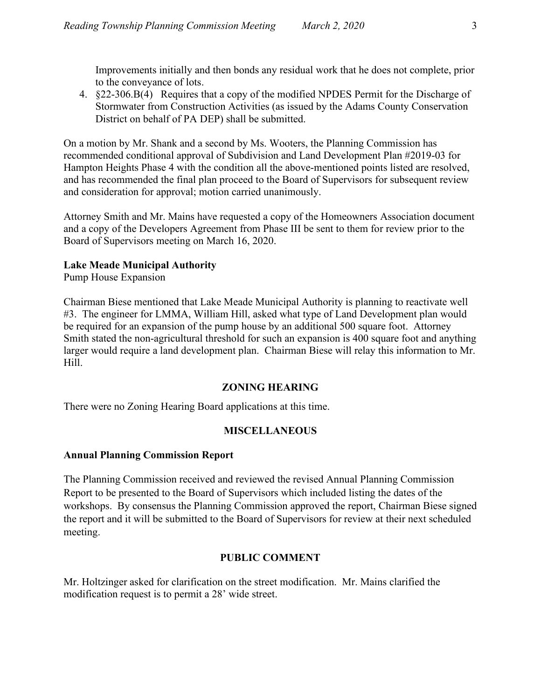Improvements initially and then bonds any residual work that he does not complete, prior to the conveyance of lots.

4. §22-306.B(4) Requires that a copy of the modified NPDES Permit for the Discharge of Stormwater from Construction Activities (as issued by the Adams County Conservation District on behalf of PA DEP) shall be submitted.

On a motion by Mr. Shank and a second by Ms. Wooters, the Planning Commission has recommended conditional approval of Subdivision and Land Development Plan #2019-03 for Hampton Heights Phase 4 with the condition all the above-mentioned points listed are resolved, and has recommended the final plan proceed to the Board of Supervisors for subsequent review and consideration for approval; motion carried unanimously.

Attorney Smith and Mr. Mains have requested a copy of the Homeowners Association document and a copy of the Developers Agreement from Phase III be sent to them for review prior to the Board of Supervisors meeting on March 16, 2020.

# **Lake Meade Municipal Authority**

Pump House Expansion

Chairman Biese mentioned that Lake Meade Municipal Authority is planning to reactivate well #3. The engineer for LMMA, William Hill, asked what type of Land Development plan would be required for an expansion of the pump house by an additional 500 square foot. Attorney Smith stated the non-agricultural threshold for such an expansion is 400 square foot and anything larger would require a land development plan. Chairman Biese will relay this information to Mr. Hill.

#### **ZONING HEARING**

There were no Zoning Hearing Board applications at this time.

# **MISCELLANEOUS**

# **Annual Planning Commission Report**

The Planning Commission received and reviewed the revised Annual Planning Commission Report to be presented to the Board of Supervisors which included listing the dates of the workshops. By consensus the Planning Commission approved the report, Chairman Biese signed the report and it will be submitted to the Board of Supervisors for review at their next scheduled meeting.

# **PUBLIC COMMENT**

Mr. Holtzinger asked for clarification on the street modification. Mr. Mains clarified the modification request is to permit a 28' wide street.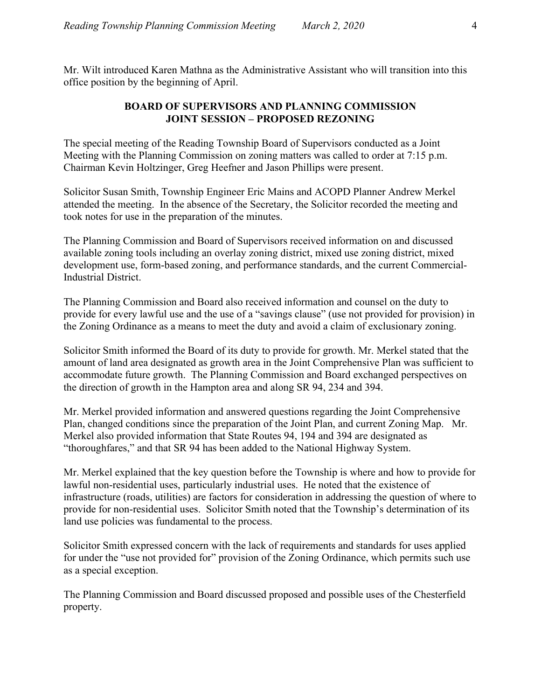Mr. Wilt introduced Karen Mathna as the Administrative Assistant who will transition into this office position by the beginning of April.

#### **BOARD OF SUPERVISORS AND PLANNING COMMISSION JOINT SESSION – PROPOSED REZONING**

The special meeting of the Reading Township Board of Supervisors conducted as a Joint Meeting with the Planning Commission on zoning matters was called to order at 7:15 p.m. Chairman Kevin Holtzinger, Greg Heefner and Jason Phillips were present.

Solicitor Susan Smith, Township Engineer Eric Mains and ACOPD Planner Andrew Merkel attended the meeting. In the absence of the Secretary, the Solicitor recorded the meeting and took notes for use in the preparation of the minutes.

The Planning Commission and Board of Supervisors received information on and discussed available zoning tools including an overlay zoning district, mixed use zoning district, mixed development use, form-based zoning, and performance standards, and the current Commercial-Industrial District.

The Planning Commission and Board also received information and counsel on the duty to provide for every lawful use and the use of a "savings clause" (use not provided for provision) in the Zoning Ordinance as a means to meet the duty and avoid a claim of exclusionary zoning.

Solicitor Smith informed the Board of its duty to provide for growth. Mr. Merkel stated that the amount of land area designated as growth area in the Joint Comprehensive Plan was sufficient to accommodate future growth. The Planning Commission and Board exchanged perspectives on the direction of growth in the Hampton area and along SR 94, 234 and 394.

Mr. Merkel provided information and answered questions regarding the Joint Comprehensive Plan, changed conditions since the preparation of the Joint Plan, and current Zoning Map. Mr. Merkel also provided information that State Routes 94, 194 and 394 are designated as "thoroughfares," and that SR 94 has been added to the National Highway System.

Mr. Merkel explained that the key question before the Township is where and how to provide for lawful non-residential uses, particularly industrial uses. He noted that the existence of infrastructure (roads, utilities) are factors for consideration in addressing the question of where to provide for non-residential uses. Solicitor Smith noted that the Township's determination of its land use policies was fundamental to the process.

Solicitor Smith expressed concern with the lack of requirements and standards for uses applied for under the "use not provided for" provision of the Zoning Ordinance, which permits such use as a special exception.

The Planning Commission and Board discussed proposed and possible uses of the Chesterfield property.